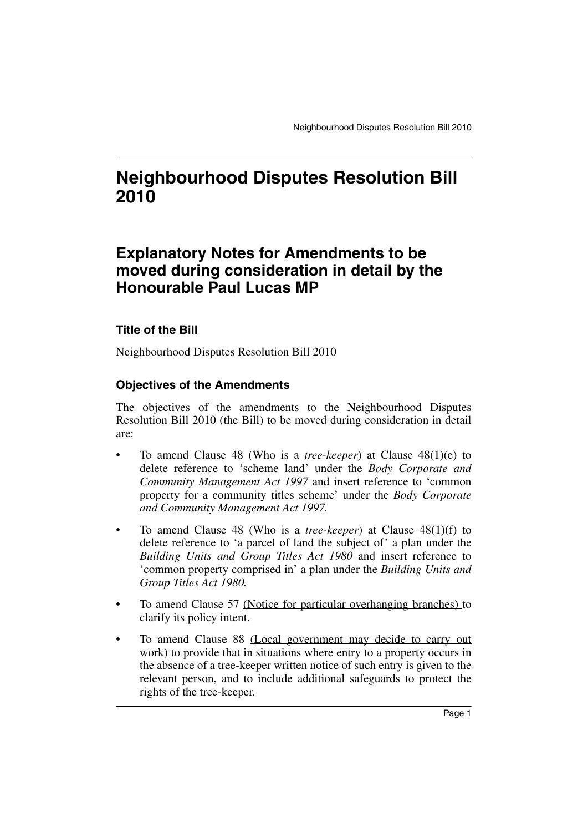# **Neighbourhood Disputes Resolution Bill 2010**

# **Explanatory Notes for Amendments to be moved during consideration in detail by the Honourable Paul Lucas MP**

### **Title of the Bill**

Neighbourhood Disputes Resolution Bill 2010

#### **Objectives of the Amendments**

The objectives of the amendments to the Neighbourhood Disputes Resolution Bill 2010 (the Bill) to be moved during consideration in detail are:

- To amend Clause 48 (Who is a *tree-keeper*) at Clause 48(1)(e) to delete reference to 'scheme land' under the *Body Corporate and Community Management Act 1997* and insert reference to 'common property for a community titles scheme' under the *Body Corporate and Community Management Act 1997.*
- To amend Clause 48 (Who is a *tree-keeper*) at Clause 48(1)(f) to delete reference to 'a parcel of land the subject of' a plan under the *Building Units and Group Titles Act 1980* and insert reference to 'common property comprised in' a plan under the *Building Units and Group Titles Act 1980.*
- To amend Clause 57 (Notice for particular overhanging branches) to clarify its policy intent.
- To amend Clause 88 (Local government may decide to carry out work) to provide that in situations where entry to a property occurs in the absence of a tree-keeper written notice of such entry is given to the relevant person, and to include additional safeguards to protect the rights of the tree-keeper.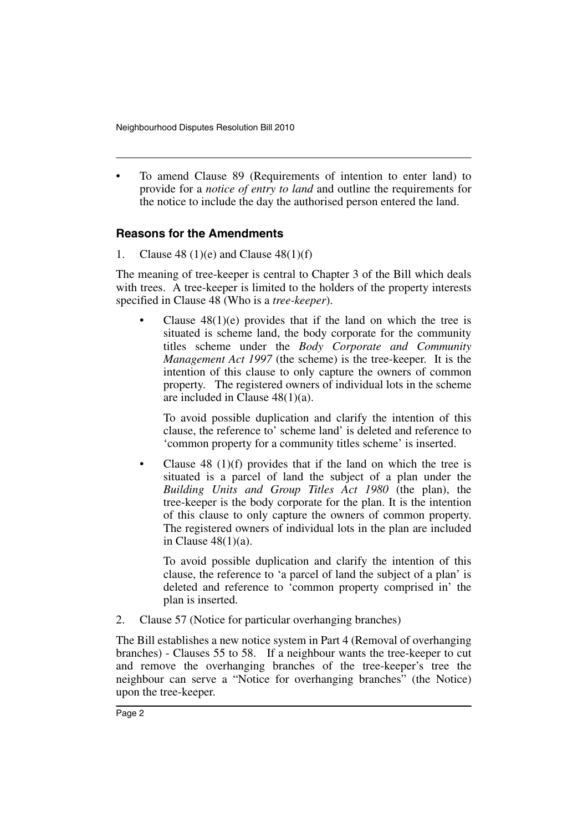• To amend Clause 89 (Requirements of intention to enter land) to provide for a *notice of entry to land* and outline the requirements for the notice to include the day the authorised person entered the land.

#### **Reasons for the Amendments**

1. Clause 48 (1)(e) and Clause  $48(1)(f)$ 

The meaning of tree-keeper is central to Chapter 3 of the Bill which deals with trees. A tree-keeper is limited to the holders of the property interests specified in Clause 48 (Who is a *tree-keeper*).

Clause  $48(1)(e)$  provides that if the land on which the tree is situated is scheme land, the body corporate for the community titles scheme under the *Body Corporate and Community Management Act 1997* (the scheme) is the tree-keeper. It is the intention of this clause to only capture the owners of common property. The registered owners of individual lots in the scheme are included in Clause 48(1)(a).

To avoid possible duplication and clarify the intention of this clause, the reference to' scheme land' is deleted and reference to 'common property for a community titles scheme' is inserted.

• Clause 48 (1)(f) provides that if the land on which the tree is situated is a parcel of land the subject of a plan under the *Building Units and Group Titles Act 1980* (the plan), the tree-keeper is the body corporate for the plan. It is the intention of this clause to only capture the owners of common property. The registered owners of individual lots in the plan are included in Clause 48(1)(a).

To avoid possible duplication and clarify the intention of this clause, the reference to 'a parcel of land the subject of a plan' is deleted and reference to 'common property comprised in' the plan is inserted.

2. Clause 57 (Notice for particular overhanging branches)

The Bill establishes a new notice system in Part 4 (Removal of overhanging branches) - Clauses 55 to 58. If a neighbour wants the tree-keeper to cut and remove the overhanging branches of the tree-keeper's tree the neighbour can serve a "Notice for overhanging branches" (the Notice) upon the tree-keeper.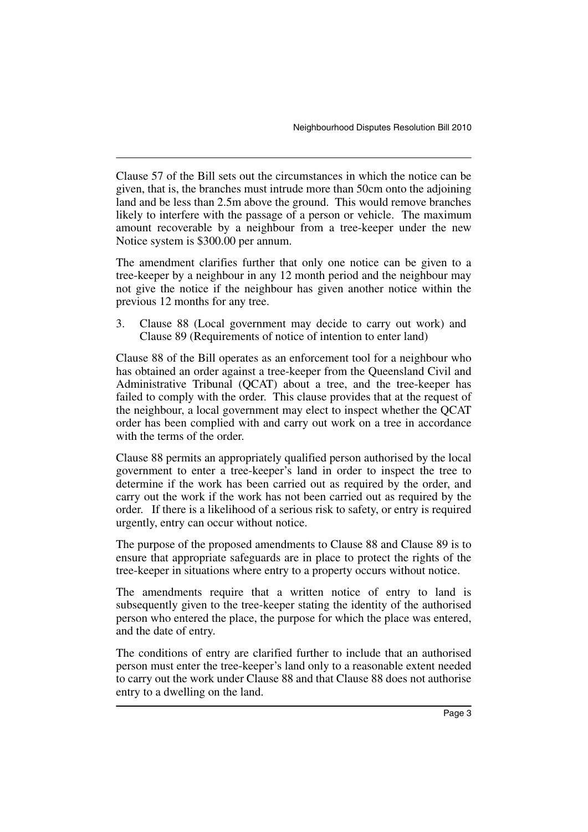Clause 57 of the Bill sets out the circumstances in which the notice can be given, that is, the branches must intrude more than 50cm onto the adjoining land and be less than 2.5m above the ground. This would remove branches likely to interfere with the passage of a person or vehicle. The maximum amount recoverable by a neighbour from a tree-keeper under the new Notice system is \$300.00 per annum.

The amendment clarifies further that only one notice can be given to a tree-keeper by a neighbour in any 12 month period and the neighbour may not give the notice if the neighbour has given another notice within the previous 12 months for any tree.

3. Clause 88 (Local government may decide to carry out work) and Clause 89 (Requirements of notice of intention to enter land)

Clause 88 of the Bill operates as an enforcement tool for a neighbour who has obtained an order against a tree-keeper from the Queensland Civil and Administrative Tribunal (QCAT) about a tree, and the tree-keeper has failed to comply with the order. This clause provides that at the request of the neighbour, a local government may elect to inspect whether the QCAT order has been complied with and carry out work on a tree in accordance with the terms of the order.

Clause 88 permits an appropriately qualified person authorised by the local government to enter a tree-keeper's land in order to inspect the tree to determine if the work has been carried out as required by the order, and carry out the work if the work has not been carried out as required by the order. If there is a likelihood of a serious risk to safety, or entry is required urgently, entry can occur without notice.

The purpose of the proposed amendments to Clause 88 and Clause 89 is to ensure that appropriate safeguards are in place to protect the rights of the tree-keeper in situations where entry to a property occurs without notice.

The amendments require that a written notice of entry to land is subsequently given to the tree-keeper stating the identity of the authorised person who entered the place, the purpose for which the place was entered, and the date of entry.

The conditions of entry are clarified further to include that an authorised person must enter the tree-keeper's land only to a reasonable extent needed to carry out the work under Clause 88 and that Clause 88 does not authorise entry to a dwelling on the land.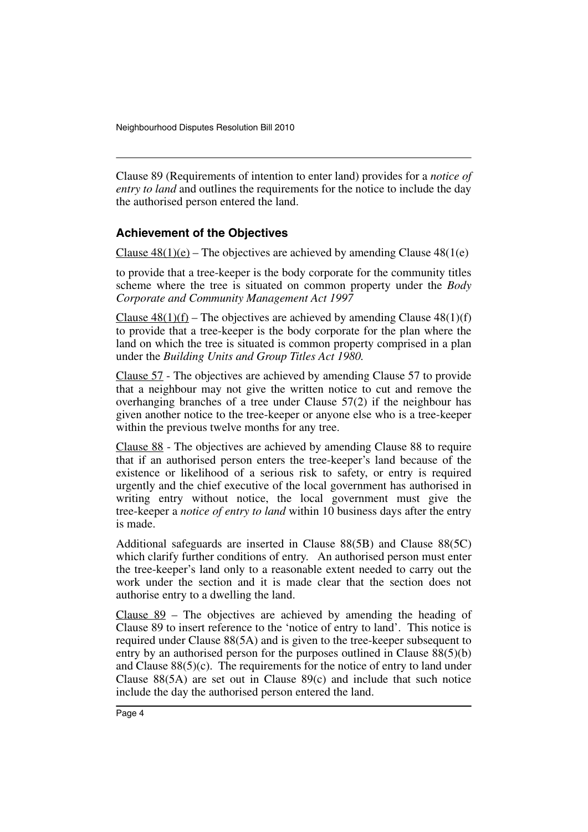Clause 89 (Requirements of intention to enter land) provides for a *notice of entry to land* and outlines the requirements for the notice to include the day the authorised person entered the land.

#### **Achievement of the Objectives**

Clause  $48(1)(e)$  – The objectives are achieved by amending Clause  $48(1(e))$ 

to provide that a tree-keeper is the body corporate for the community titles scheme where the tree is situated on common property under the *Body Corporate and Community Management Act 1997*

Clause  $48(1)(f)$  – The objectives are achieved by amending Clause  $48(1)(f)$ to provide that a tree-keeper is the body corporate for the plan where the land on which the tree is situated is common property comprised in a plan under the *Building Units and Group Titles Act 1980.*

Clause 57 - The objectives are achieved by amending Clause 57 to provide that a neighbour may not give the written notice to cut and remove the overhanging branches of a tree under Clause 57(2) if the neighbour has given another notice to the tree-keeper or anyone else who is a tree-keeper within the previous twelve months for any tree.

Clause 88 - The objectives are achieved by amending Clause 88 to require that if an authorised person enters the tree-keeper's land because of the existence or likelihood of a serious risk to safety, or entry is required urgently and the chief executive of the local government has authorised in writing entry without notice, the local government must give the tree-keeper a *notice of entry to land* within 10 business days after the entry is made.

Additional safeguards are inserted in Clause 88(5B) and Clause 88(5C) which clarify further conditions of entry. An authorised person must enter the tree-keeper's land only to a reasonable extent needed to carry out the work under the section and it is made clear that the section does not authorise entry to a dwelling the land.

Clause 89 – The objectives are achieved by amending the heading of Clause 89 to insert reference to the 'notice of entry to land'. This notice is required under Clause 88(5A) and is given to the tree-keeper subsequent to entry by an authorised person for the purposes outlined in Clause 88(5)(b) and Clause  $88(5)(c)$ . The requirements for the notice of entry to land under Clause 88(5A) are set out in Clause 89(c) and include that such notice include the day the authorised person entered the land.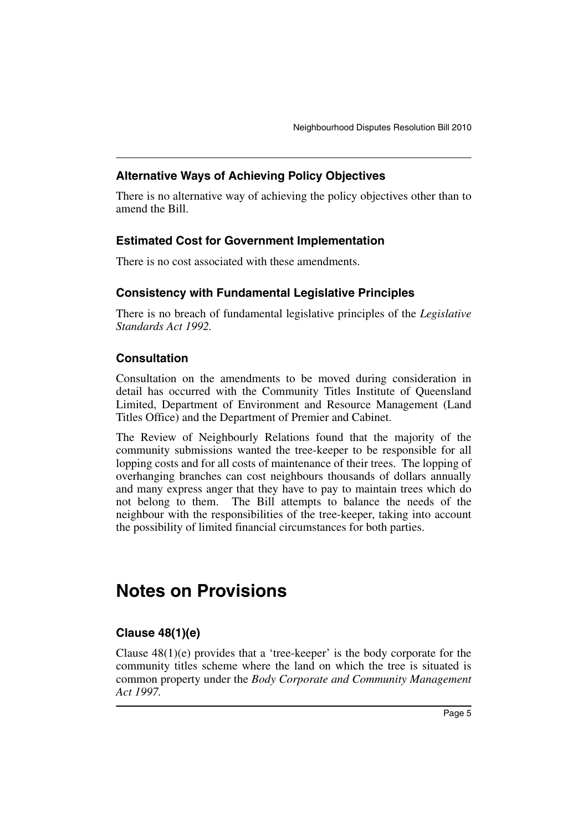#### **Alternative Ways of Achieving Policy Objectives**

There is no alternative way of achieving the policy objectives other than to amend the Bill.

#### **Estimated Cost for Government Implementation**

There is no cost associated with these amendments.

#### **Consistency with Fundamental Legislative Principles**

There is no breach of fundamental legislative principles of the *Legislative Standards Act 1992.*

#### **Consultation**

Consultation on the amendments to be moved during consideration in detail has occurred with the Community Titles Institute of Queensland Limited, Department of Environment and Resource Management (Land Titles Office) and the Department of Premier and Cabinet.

The Review of Neighbourly Relations found that the majority of the community submissions wanted the tree-keeper to be responsible for all lopping costs and for all costs of maintenance of their trees. The lopping of overhanging branches can cost neighbours thousands of dollars annually and many express anger that they have to pay to maintain trees which do not belong to them. The Bill attempts to balance the needs of the neighbour with the responsibilities of the tree-keeper, taking into account the possibility of limited financial circumstances for both parties.

# **Notes on Provisions**

### **Clause 48(1)(e)**

Clause  $48(1)(e)$  provides that a 'tree-keeper' is the body corporate for the community titles scheme where the land on which the tree is situated is common property under the *Body Corporate and Community Management Act 1997.*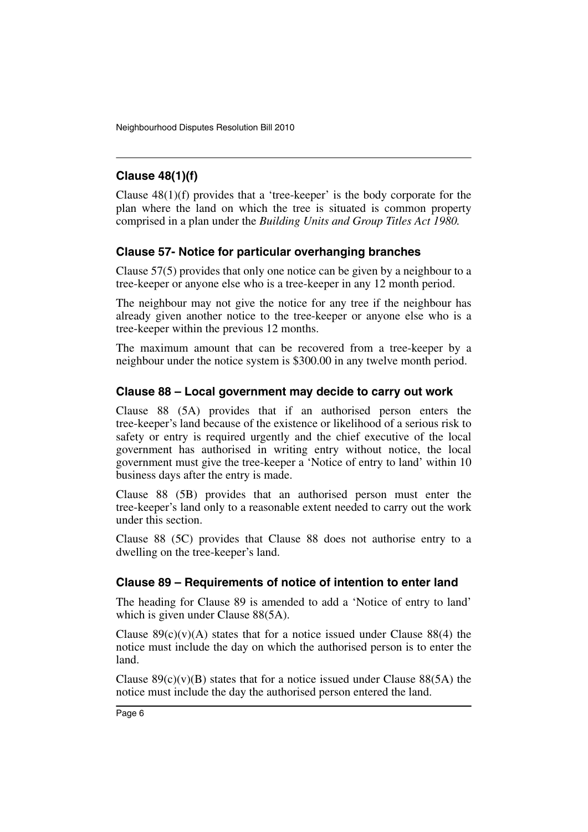## **Clause 48(1)(f)**

Clause  $48(1)(f)$  provides that a 'tree-keeper' is the body corporate for the plan where the land on which the tree is situated is common property comprised in a plan under the *Building Units and Group Titles Act 1980.*

#### **Clause 57- Notice for particular overhanging branches**

Clause 57(5) provides that only one notice can be given by a neighbour to a tree-keeper or anyone else who is a tree-keeper in any 12 month period.

The neighbour may not give the notice for any tree if the neighbour has already given another notice to the tree-keeper or anyone else who is a tree-keeper within the previous 12 months.

The maximum amount that can be recovered from a tree-keeper by a neighbour under the notice system is \$300.00 in any twelve month period.

#### **Clause 88 – Local government may decide to carry out work**

Clause 88 (5A) provides that if an authorised person enters the tree-keeper's land because of the existence or likelihood of a serious risk to safety or entry is required urgently and the chief executive of the local government has authorised in writing entry without notice, the local government must give the tree-keeper a 'Notice of entry to land' within 10 business days after the entry is made.

Clause 88 (5B) provides that an authorised person must enter the tree-keeper's land only to a reasonable extent needed to carry out the work under this section.

Clause 88 (5C) provides that Clause 88 does not authorise entry to a dwelling on the tree-keeper's land.

#### **Clause 89 – Requirements of notice of intention to enter land**

The heading for Clause 89 is amended to add a 'Notice of entry to land' which is given under Clause 88(5A).

Clause  $89(c)(v)(A)$  states that for a notice issued under Clause 88(4) the notice must include the day on which the authorised person is to enter the land.

Clause  $89(c)(v)(B)$  states that for a notice issued under Clause  $88(5A)$  the notice must include the day the authorised person entered the land.